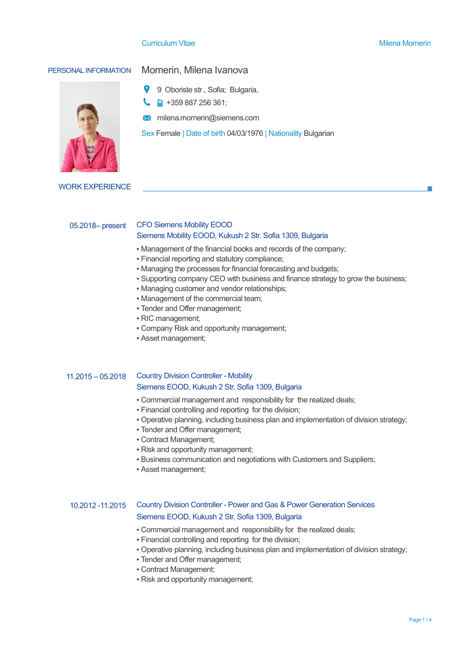#### **Curriculum Vitae Milena Momerin** Milena Momerin Milena Momerin



# PERSONAL INFORMATION Momerin, Milena Ivanova

- 9 Oboriste str., Sofia; Bulgaria,
- $\begin{array}{|c|c|c|}\n\hline\n\text{a} & +359887256361;\n\hline\n\end{array}$
- **M** milena.momerin@siemens.com

Sex Female | Date of birth 04/03/1976 | Nationality Bulgarian

WORK EXPERIENCE

## 05.2018– present CFO Siemens Mobility EOOD Siemens Mobility EOOD, Kukush 2 Str. Sofia 1309, Bulgaria

- Management of the financial books and records of the company;
- Financial reporting and statutory compliance;
- Managing the processes for financial forecasting and budgets;
- Supporting company CEO with business and finance strategy to grow the business;
- Managing customer and vendor relationships;
- Management of the commercial team;
- Tender and Offer management;
- RIC management;
- Company Risk and opportunity management;
- Asset management;

#### $11.2015 - 05.2018$ Country Division Controller - Mobility Siemens EOOD, Kukush 2 Str. Sofia 1309, Bulgaria

- Commercial management and responsibility for the realized deals;
- Financial controlling and reporting for the division;
- Operative planning, including business plan and implementation of division strategy;
- **Tender and Offer management;**
- Contract Management;
- Risk and opportunity management;
- Business communication and negotiations with Customers and Suppliers;
- Asset management;

#### 10.2012 -11.2015 Country Division Controller - Power and Gas & Power Generation Services Siemens EOOD, Kukush 2 Str. Sofia 1309, Bulgaria

- Commercial management and responsibility for the realized deals;
- Financial controlling and reporting for the division;
- Operative planning, including business plan and implementation of division strategy;
- Tender and Offer management;
- Contract Management;
- Risk and opportunity management;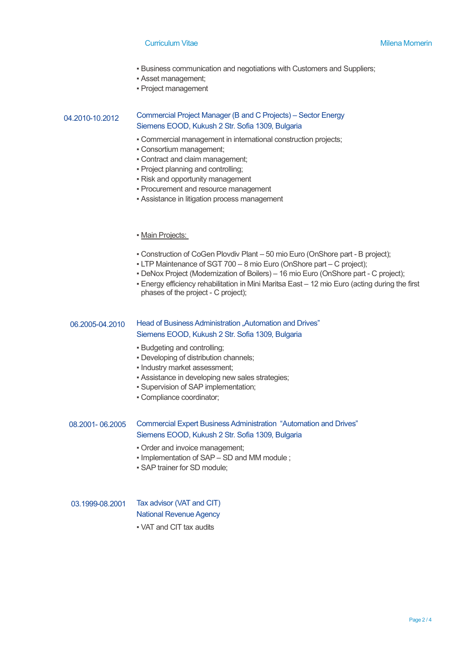#### **Curriculum Vitae Milena Momerin** Milena Momerin Milena Momerin

- Business communication and negotiations with Customers and Suppliers;
- Asset management;
- Project management

#### 04.2010-10.2012 Commercial Project Manager (B and C Projects) – Sector Energy Siemens EOOD, Kukush 2 Str. Sofia 1309, Bulgaria

- Commercial management in international construction projects;
- Consortium management;
- Contract and claim management;
- Project planning and controlling;
- Risk and opportunity management
- **Procurement and resource management**
- **Example 1** Assistance in litigation process management

### **• Main Projects:**

- Construction of CoGen Plovdiv Plant 50 mio Euro (OnShore part B project);
- LTP Maintenance of SGT 700 8 mio Euro (OnShore part C project);
- DeNox Project (Modernization of Boilers) 16 mio Euro (OnShore part C project);
- Energy efficiency rehabilitation in Mini Maritsa East 12 mio Euro (acting during the first phases of the project - C project);

## 06.2005-04.2010 Head of Business Administration "Automation and Drives" Siemens EOOD, Kukush 2 Str. Sofia 1309, Bulgaria

- Budgeting and controlling;
- Developing of distribution channels;
- Industry market assessment;
- **EXECT:** Assistance in developing new sales strategies;
- Supervision of SAP implementation;
- Compliance coordinator;

## 08.2001- 06.2005 Commercial Expert Business Administration "Automation and Drives" Siemens EOOD, Kukush 2 Str. Sofia 1309, Bulgaria

- Order and invoice management;
- Implementation of SAP SD and MM module ;
- SAP trainer for SD module;

## 03.1999-08.2001 Tax advisor (VAT and CIT) National Revenue Agency

▪ VAT and CIT tax audits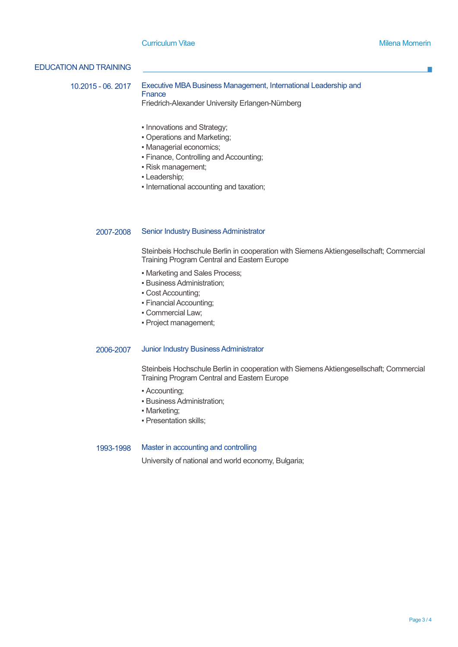## EDUCATION AND TRAINING

10.2015 - 06. 2017 Executive MBA Business Management, International Leadership and

**Fnance** 

Friedrich-Alexander University Erlangen-Nürnberg

- Innovations and Strategy;
- Operations and Marketing;
- Managerial economics;
- Finance, Controlling and Accounting;
- Risk management;
- Leadership;
- International accounting and taxation;

### 2007-2008 Senior Industry Business Administrator

Steinbeis Hochschule Berlin in cooperation with Siemens Aktiengesellschaft; Commercial Training Program Central and Eastern Europe

- Marketing and Sales Process;
- Business Administration;
- Cost Accounting;
- Financial Accounting;
- Commercial Law;
- Project management;

#### 2006-2007 Junior Industry Business Administrator

Steinbeis Hochschule Berlin in cooperation with Siemens Aktiengesellschaft; Commercial Training Program Central and Eastern Europe

- Accounting;
- **Business Administration:**
- Marketing;
- Presentation skills;

#### 1993-1998 Master in accounting and controlling

University of national and world economy, Bulgaria;